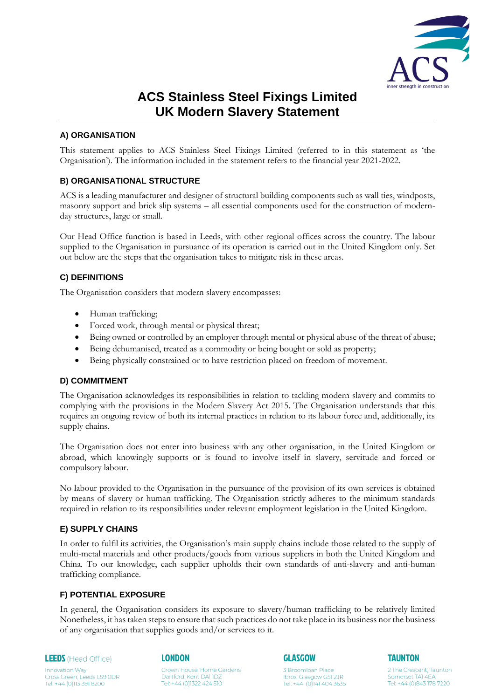

# **ACS Stainless Steel Fixings Limited UK Modern Slavery Statement**

# **A) ORGANISATION**

This statement applies to ACS Stainless Steel Fixings Limited (referred to in this statement as 'the Organisation'). The information included in the statement refers to the financial year 2021-2022.

### **B) ORGANISATIONAL STRUCTURE**

ACS is a leading manufacturer and designer of structural building components such as wall ties, windposts, masonry support and brick slip systems – all essential components used for the construction of modernday structures, large or small.

Our Head Office function is based in Leeds, with other regional offices across the country. The labour supplied to the Organisation in pursuance of its operation is carried out in the United Kingdom only. Set out below are the steps that the organisation takes to mitigate risk in these areas.

# **C) DEFINITIONS**

The Organisation considers that modern slavery encompasses:

- Human trafficking;
- Forced work, through mental or physical threat;
- Being owned or controlled by an employer through mental or physical abuse of the threat of abuse;
- Being dehumanised, treated as a commodity or being bought or sold as property;
- Being physically constrained or to have restriction placed on freedom of movement.

### **D) COMMITMENT**

The Organisation acknowledges its responsibilities in relation to tackling modern slavery and commits to complying with the provisions in the Modern Slavery Act 2015. The Organisation understands that this requires an ongoing review of both its internal practices in relation to its labour force and, additionally, its supply chains.

The Organisation does not enter into business with any other organisation, in the United Kingdom or abroad, which knowingly supports or is found to involve itself in slavery, servitude and forced or compulsory labour.

No labour provided to the Organisation in the pursuance of the provision of its own services is obtained by means of slavery or human trafficking. The Organisation strictly adheres to the minimum standards required in relation to its responsibilities under relevant employment legislation in the United Kingdom.

# **E) SUPPLY CHAINS**

In order to fulfil its activities, the Organisation's main supply chains include those related to the supply of multi-metal materials and other products/goods from various suppliers in both the United Kingdom and China*.* To our knowledge, each supplier upholds their own standards of anti-slavery and anti-human trafficking compliance.

### **F) POTENTIAL EXPOSURE**

In general, the Organisation considers its exposure to slavery/human trafficking to be relatively limited Nonetheless, it has taken steps to ensure that such practices do not take place in its business nor the business of any organisation that supplies goods and/or services to it.

**LEEDS** (Head Office)

Cross Green, Leeds LS9 ODR<br>Tel: +44 (0)113 391 8200

**Innovation Way** 

#### **LONDON**

Crown House, Home Gardens Dartford, Kent DA11DZ Tel: +44 (0)1322 424 510

**GLASGOW** 

3 Broomloan Place

Ibrox, Glasgow G51 2JR

Tel: +44 (0)141 404 3635

**TAUNTON** 

2 The Crescent Taunton Somerset TAI 4EA Tel: +44 (0)843 178 7220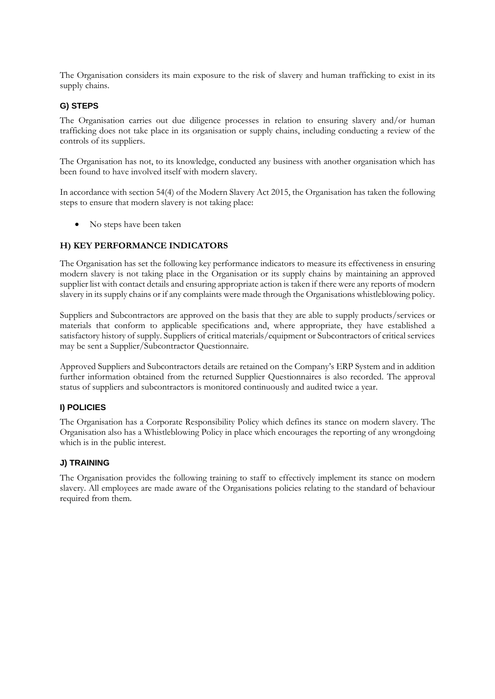The Organisation considers its main exposure to the risk of slavery and human trafficking to exist in its supply chains.

# **G) STEPS**

The Organisation carries out due diligence processes in relation to ensuring slavery and/or human trafficking does not take place in its organisation or supply chains, including conducting a review of the controls of its suppliers.

The Organisation has not, to its knowledge, conducted any business with another organisation which has been found to have involved itself with modern slavery.

In accordance with section 54(4) of the Modern Slavery Act 2015, the Organisation has taken the following steps to ensure that modern slavery is not taking place:

• No steps have been taken

# **H) KEY PERFORMANCE INDICATORS**

The Organisation has set the following key performance indicators to measure its effectiveness in ensuring modern slavery is not taking place in the Organisation or its supply chains by maintaining an approved supplier list with contact details and ensuring appropriate action is taken if there were any reports of modern slavery in its supply chains or if any complaints were made through the Organisations whistleblowing policy.

Suppliers and Subcontractors are approved on the basis that they are able to supply products/services or materials that conform to applicable specifications and, where appropriate, they have established a satisfactory history of supply. Suppliers of critical materials/equipment or Subcontractors of critical services may be sent a Supplier/Subcontractor Questionnaire.

Approved Suppliers and Subcontractors details are retained on the Company's ERP System and in addition further information obtained from the returned Supplier Questionnaires is also recorded. The approval status of suppliers and subcontractors is monitored continuously and audited twice a year.

# **I) POLICIES**

The Organisation has a Corporate Responsibility Policy which defines its stance on modern slavery. The Organisation also has a Whistleblowing Policy in place which encourages the reporting of any wrongdoing which is in the public interest.

# **J) TRAINING**

The Organisation provides the following training to staff to effectively implement its stance on modern slavery. All employees are made aware of the Organisations policies relating to the standard of behaviour required from them.